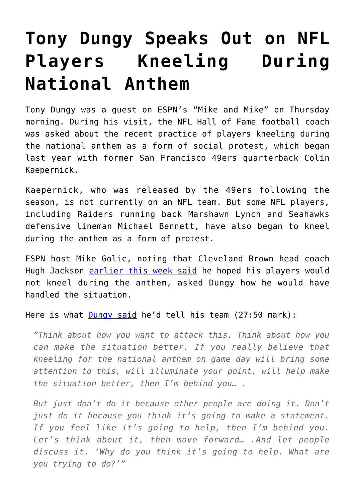## **[Tony Dungy Speaks Out on NFL](https://intellectualtakeout.org/2017/08/tony-dungy-speaks-out-on-nfl-players-kneeling-during-national-anthem/) [Players Kneeling During](https://intellectualtakeout.org/2017/08/tony-dungy-speaks-out-on-nfl-players-kneeling-during-national-anthem/) [National Anthem](https://intellectualtakeout.org/2017/08/tony-dungy-speaks-out-on-nfl-players-kneeling-during-national-anthem/)**

Tony Dungy was a guest on ESPN's "Mike and Mike" on Thursday morning. During his visit, the NFL Hall of Fame football coach was asked about the recent practice of players kneeling during the national anthem as a form of social protest, which began last year with former San Francisco 49ers quarterback Colin Kaepernick.

Kaepernick, who was released by the 49ers following the season, is not currently on an NFL team. But some NFL players, including Raiders running back Marshawn Lynch and Seahawks defensive lineman Michael Bennett, have also began to kneel during the anthem as a form of protest.

ESPN host Mike Golic, noting that Cleveland Brown head coach Hugh Jackson [earlier this week said](https://www.cbssports.com/nfl/news/hue-jackson-does-not-want-to-see-browns-players-protest-during-anthem/) he hoped his players would not kneel during the anthem, asked Dungy how he would have handled the situation.

Here is what **Dungy said** he'd tell his team (27:50 mark):

*"Think about how you want to attack this. Think about how you can make the situation better. If you really believe that kneeling for the national anthem on game day will bring some attention to this, will illuminate your point, will help make the situation better, then I'm behind you… .*

*But just don't do it because other people are doing it. Don't just do it because you think it's going to make a statement. If you feel like it's going to help, then I'm behind you. Let's think about it, then move forward… .And let people discuss it. 'Why do you think it's going to help. What are you trying to do?'"*